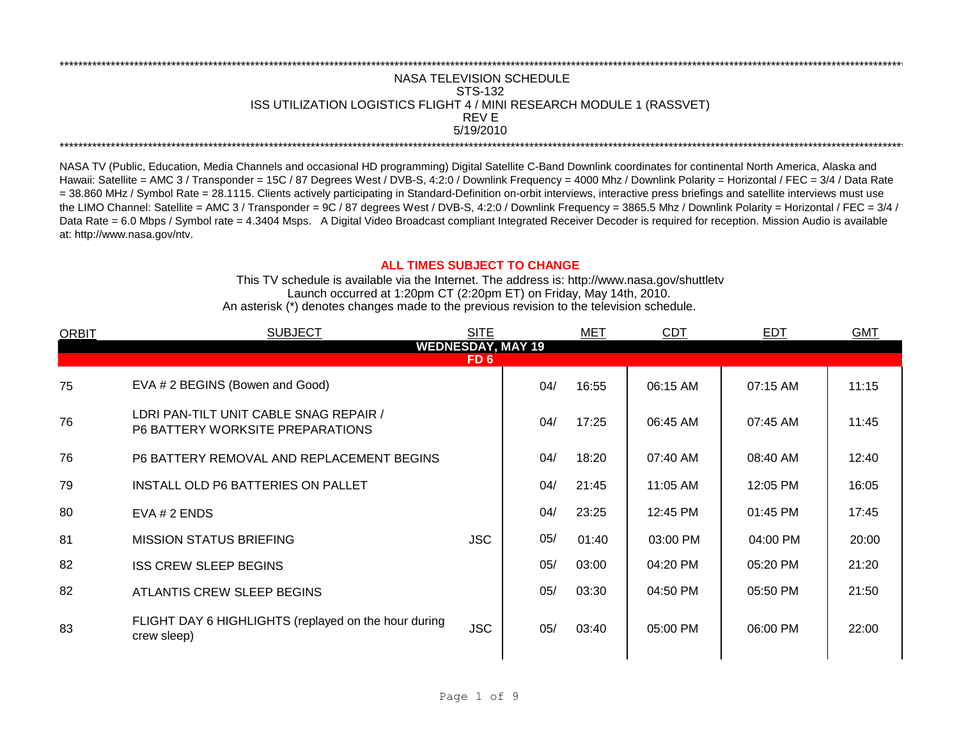## REV E \*\*\*\*\*\*\*\*\*\*\*\*\*\*\*\*\*\*\*\*\*\*\*\*\*\*\*\*\*\*\*\*\*\*\*\*\*\*\*\*\*\*\*\*\*\*\*\*\*\*\*\*\*\*\*\*\*\*\*\*\*\*\*\*\*\*\*\*\*\*\*\*\*\*\*\*\*\*\*\*\*\*\*\*\*\*\*\*\*\*\*\*\*\*\*\*\*\*\*\*\*\*\*\*\*\*\*\*\*\*\*\*\*\*\*\*\*\*\*\*\*\*\*\*\*\*\*\*\*\*\*\*\*\*\*\*\*\*\*\*\*\*\*\*\*\*\*\*\*\*\*\*\*\*\*\*\*\*\*\*\*\*\*\*\*\*\*\*\*\*\*\*\*\*\*\*\*\*\*\*\*\*\*\*\* NASA TELEVISION SCHEDULE STS-132 ISS UTILIZATION LOGISTICS FLIGHT 4 / MINI RESEARCH MODULE 1 (RASSVET) 5/19/2010 \*\*\*\*\*\*\*\*\*\*\*\*\*\*\*\*\*\*\*\*\*\*\*\*\*\*\*\*\*\*\*\*\*\*\*\*\*\*\*\*\*\*\*\*\*\*\*\*\*\*\*\*\*\*\*\*\*\*\*\*\*\*\*\*\*\*\*\*\*\*\*\*\*\*\*\*\*\*\*\*\*\*\*\*\*\*\*\*\*\*\*\*\*\*\*\*\*\*\*\*\*\*\*\*\*\*\*\*\*\*\*\*\*\*\*\*\*\*\*\*\*\*\*\*\*\*\*\*\*\*\*\*\*\*\*\*\*\*\*\*\*\*\*\*\*\*\*\*\*\*\*\*\*\*\*\*\*\*\*\*\*\*\*\*\*\*\*\*\*\*\*\*\*\*\*\*\*\*\*\*\*\*\*\*\*

NASA TV (Public, Education, Media Channels and occasional HD programming) Digital Satellite C-Band Downlink coordinates for continental North America, Alaska and Hawaii: Satellite = AMC 3 / Transponder = 15C / 87 Degrees West / DVB-S, 4:2:0 / Downlink Frequency = 4000 Mhz / Downlink Polarity = Horizontal / FEC = 3/4 / Data Rate = 38.860 MHz / Symbol Rate = 28.1115. Clients actively participating in Standard-Definition on-orbit interviews, interactive press briefings and satellite interviews must use the LIMO Channel: Satellite = AMC 3 / Transponder = 9C / 87 degrees West / DVB-S, 4:2:0 / Downlink Frequency = 3865.5 Mhz / Downlink Polarity = Horizontal / FEC = 3/4 / Data Rate = 6.0 Mbps / Symbol rate = 4.3404 Msps. A Digital Video Broadcast compliant Integrated Receiver Decoder is required for reception. Mission Audio is available at: http://www.nasa.gov/ntv.

## **ALL TIMES SUBJECT TO CHANGE**

Launch occurred at 1:20pm CT (2:20pm ET) on Friday, May 14th, 2010. An asterisk (\*) denotes changes made to the previous revision to the television schedule. This TV schedule is available via the Internet. The address is: http://www.nasa.gov/shuttletv

| <b>ORBIT</b> | <b>SUBJECT</b>                                                             | <b>SITE</b> |     | <b>MET</b> | <b>CDT</b> | <b>EDT</b> | <b>GMT</b> |
|--------------|----------------------------------------------------------------------------|-------------|-----|------------|------------|------------|------------|
|              | <b>WEDNESDAY, MAY 19</b>                                                   |             |     |            |            |            |            |
|              |                                                                            | FD 6        |     |            |            |            |            |
| 75           | EVA # 2 BEGINS (Bowen and Good)                                            |             | 04/ | 16:55      | 06:15 AM   | 07:15 AM   | 11:15      |
| 76           | LDRI PAN-TILT UNIT CABLE SNAG REPAIR /<br>P6 BATTERY WORKSITE PREPARATIONS |             | 04/ | 17:25      | 06:45 AM   | 07:45 AM   | 11:45      |
| 76           | P6 BATTERY REMOVAL AND REPLACEMENT BEGINS                                  |             | 04/ | 18:20      | 07:40 AM   | 08:40 AM   | 12:40      |
| 79           | INSTALL OLD P6 BATTERIES ON PALLET                                         |             | 04/ | 21:45      | 11:05 AM   | 12:05 PM   | 16:05      |
| 80           | EVA # 2 ENDS                                                               |             | 04/ | 23:25      | 12:45 PM   | 01:45 PM   | 17:45      |
| 81           | <b>MISSION STATUS BRIEFING</b>                                             | <b>JSC</b>  | 05/ | 01:40      | 03:00 PM   | 04:00 PM   | 20:00      |
| 82           | <b>ISS CREW SLEEP BEGINS</b>                                               |             | 05/ | 03:00      | 04:20 PM   | 05:20 PM   | 21:20      |
| 82           | ATLANTIS CREW SLEEP BEGINS                                                 |             | 05/ | 03:30      | 04:50 PM   | 05:50 PM   | 21:50      |
| 83           | FLIGHT DAY 6 HIGHLIGHTS (replayed on the hour during<br>crew sleep)        | <b>JSC</b>  | 05/ | 03:40      | 05:00 PM   | 06:00 PM   | 22:00      |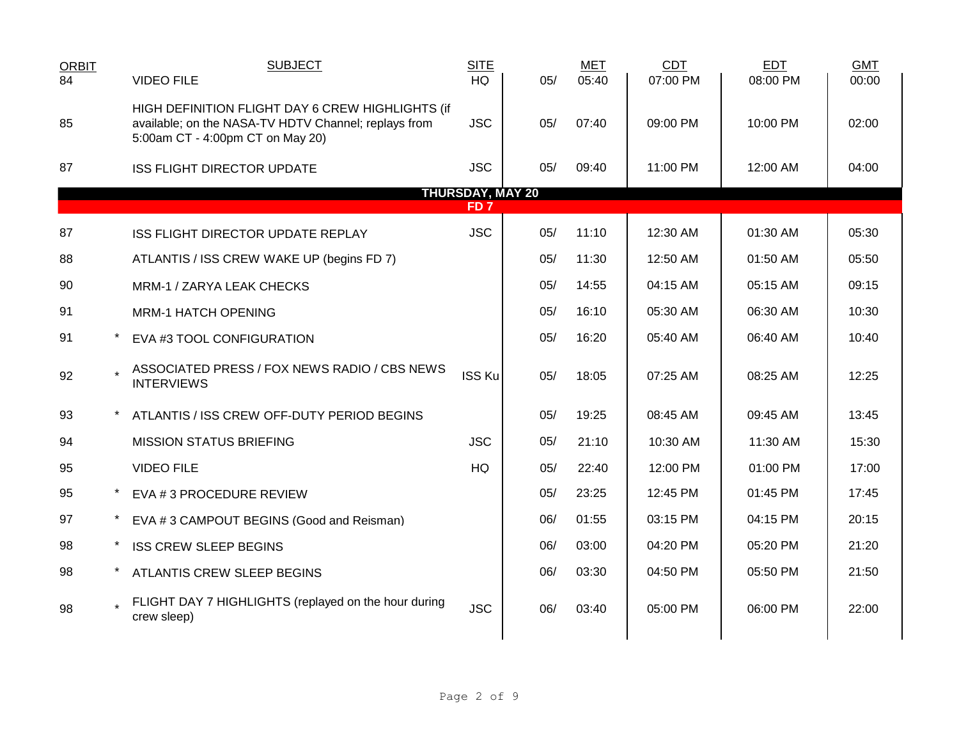| <b>ORBIT</b><br>$\overline{84}$ | <b>SUBJECT</b><br><b>VIDEO FILE</b>                                                                                                          | <b>SITE</b><br><b>HQ</b>                   | 05/ | <b>MET</b><br>05:40 | <b>CDT</b><br>07:00 PM | <b>EDT</b><br>08:00 PM | <b>GMT</b><br>00:00 |
|---------------------------------|----------------------------------------------------------------------------------------------------------------------------------------------|--------------------------------------------|-----|---------------------|------------------------|------------------------|---------------------|
| 85                              | HIGH DEFINITION FLIGHT DAY 6 CREW HIGHLIGHTS (if<br>available; on the NASA-TV HDTV Channel; replays from<br>5:00am CT - 4:00pm CT on May 20) | <b>JSC</b>                                 | 05/ | 07:40               | 09:00 PM               | 10:00 PM               | 02:00               |
| 87                              | <b>ISS FLIGHT DIRECTOR UPDATE</b>                                                                                                            | <b>JSC</b>                                 | 05/ | 09:40               | 11:00 PM               | 12:00 AM               | 04:00               |
|                                 |                                                                                                                                              | <b>THURSDAY, MAY 20</b><br>FD <sub>7</sub> |     |                     |                        |                        |                     |
| 87                              | ISS FLIGHT DIRECTOR UPDATE REPLAY                                                                                                            | <b>JSC</b>                                 | 05/ | 11:10               | 12:30 AM               | 01:30 AM               | 05:30               |
| 88                              | ATLANTIS / ISS CREW WAKE UP (begins FD 7)                                                                                                    |                                            | 05/ | 11:30               | 12:50 AM               | 01:50 AM               | 05:50               |
| 90                              | MRM-1 / ZARYA LEAK CHECKS                                                                                                                    |                                            | 05/ | 14:55               | 04:15 AM               | 05:15 AM               | 09:15               |
| 91                              | <b>MRM-1 HATCH OPENING</b>                                                                                                                   |                                            | 05/ | 16:10               | 05:30 AM               | 06:30 AM               | 10:30               |
| 91                              | EVA #3 TOOL CONFIGURATION                                                                                                                    |                                            | 05/ | 16:20               | 05:40 AM               | 06:40 AM               | 10:40               |
| 92                              | ASSOCIATED PRESS / FOX NEWS RADIO / CBS NEWS<br><b>INTERVIEWS</b>                                                                            | <b>ISS Ku</b>                              | 05/ | 18:05               | 07:25 AM               | 08:25 AM               | 12:25               |
| 93                              | ATLANTIS / ISS CREW OFF-DUTY PERIOD BEGINS                                                                                                   |                                            | 05/ | 19:25               | 08:45 AM               | 09:45 AM               | 13:45               |
| 94                              | <b>MISSION STATUS BRIEFING</b>                                                                                                               | <b>JSC</b>                                 | 05/ | 21:10               | 10:30 AM               | 11:30 AM               | 15:30               |
| 95                              | <b>VIDEO FILE</b>                                                                                                                            | HQ                                         | 05/ | 22:40               | 12:00 PM               | 01:00 PM               | 17:00               |
| 95                              | EVA #3 PROCEDURE REVIEW                                                                                                                      |                                            | 05/ | 23:25               | 12:45 PM               | 01:45 PM               | 17:45               |
| 97                              | EVA #3 CAMPOUT BEGINS (Good and Reisman)                                                                                                     |                                            | 06/ | 01:55               | 03:15 PM               | 04:15 PM               | 20:15               |
| 98                              | <b>ISS CREW SLEEP BEGINS</b>                                                                                                                 |                                            | 06/ | 03:00               | 04:20 PM               | 05:20 PM               | 21:20               |
| 98                              | ATLANTIS CREW SLEEP BEGINS                                                                                                                   |                                            | 06/ | 03:30               | 04:50 PM               | 05:50 PM               | 21:50               |
| 98                              | FLIGHT DAY 7 HIGHLIGHTS (replayed on the hour during<br>crew sleep)                                                                          | <b>JSC</b>                                 | 06/ | 03:40               | 05:00 PM               | 06:00 PM               | 22:00               |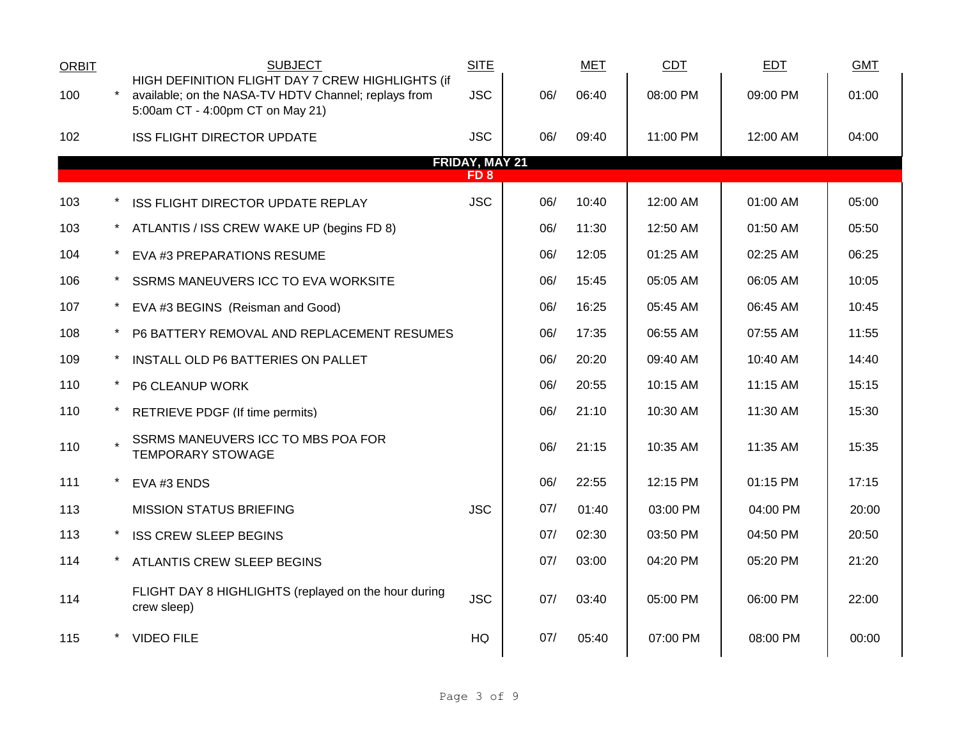| <b>ORBIT</b>                             |  | <b>SUBJECT</b>                                                                                                                               | <b>SITE</b> |     | <b>MET</b> | <b>CDT</b> | <b>EDT</b> | <b>GMT</b> |
|------------------------------------------|--|----------------------------------------------------------------------------------------------------------------------------------------------|-------------|-----|------------|------------|------------|------------|
| 100                                      |  | HIGH DEFINITION FLIGHT DAY 7 CREW HIGHLIGHTS (if<br>available; on the NASA-TV HDTV Channel; replays from<br>5:00am CT - 4:00pm CT on May 21) | <b>JSC</b>  | 06/ | 06:40      | 08:00 PM   | 09:00 PM   | 01:00      |
| 102                                      |  | <b>ISS FLIGHT DIRECTOR UPDATE</b>                                                                                                            | <b>JSC</b>  | 06/ | 09:40      | 11:00 PM   | 12:00 AM   | 04:00      |
| <b>FRIDAY, MAY 21</b><br>FD <sub>8</sub> |  |                                                                                                                                              |             |     |            |            |            |            |
| 103                                      |  | ISS FLIGHT DIRECTOR UPDATE REPLAY                                                                                                            | <b>JSC</b>  | 06/ | 10:40      | 12:00 AM   | 01:00 AM   | 05:00      |
| 103                                      |  | ATLANTIS / ISS CREW WAKE UP (begins FD 8)                                                                                                    |             | 06/ | 11:30      | 12:50 AM   | 01:50 AM   | 05:50      |
| 104                                      |  | EVA #3 PREPARATIONS RESUME                                                                                                                   |             | 06/ | 12:05      | 01:25 AM   | 02:25 AM   | 06:25      |
| 106                                      |  | SSRMS MANEUVERS ICC TO EVA WORKSITE                                                                                                          |             | 06/ | 15:45      | 05:05 AM   | 06:05 AM   | 10:05      |
| 107                                      |  | EVA #3 BEGINS (Reisman and Good)                                                                                                             |             | 06/ | 16:25      | 05:45 AM   | 06:45 AM   | 10:45      |
| 108                                      |  | P6 BATTERY REMOVAL AND REPLACEMENT RESUMES                                                                                                   |             | 06/ | 17:35      | 06:55 AM   | 07:55 AM   | 11:55      |
| 109                                      |  | INSTALL OLD P6 BATTERIES ON PALLET                                                                                                           |             | 06/ | 20:20      | 09:40 AM   | 10:40 AM   | 14:40      |
| 110                                      |  | P6 CLEANUP WORK                                                                                                                              |             | 06/ | 20:55      | 10:15 AM   | 11:15 AM   | 15:15      |
| 110                                      |  | RETRIEVE PDGF (If time permits)                                                                                                              |             | 06/ | 21:10      | 10:30 AM   | 11:30 AM   | 15:30      |
| 110                                      |  | SSRMS MANEUVERS ICC TO MBS POA FOR<br><b>TEMPORARY STOWAGE</b>                                                                               |             | 06/ | 21:15      | 10:35 AM   | 11:35 AM   | 15:35      |
| 111                                      |  | EVA #3 ENDS                                                                                                                                  |             | 06/ | 22:55      | 12:15 PM   | 01:15 PM   | 17:15      |
| 113                                      |  | <b>MISSION STATUS BRIEFING</b>                                                                                                               | <b>JSC</b>  | 07/ | 01:40      | 03:00 PM   | 04:00 PM   | 20:00      |
| 113                                      |  | <b>ISS CREW SLEEP BEGINS</b>                                                                                                                 |             | 07/ | 02:30      | 03:50 PM   | 04:50 PM   | 20:50      |
| 114                                      |  | ATLANTIS CREW SLEEP BEGINS                                                                                                                   |             | 07/ | 03:00      | 04:20 PM   | 05:20 PM   | 21:20      |
| 114                                      |  | FLIGHT DAY 8 HIGHLIGHTS (replayed on the hour during<br>crew sleep)                                                                          | <b>JSC</b>  | 07/ | 03:40      | 05:00 PM   | 06:00 PM   | 22:00      |
| 115                                      |  | <b>VIDEO FILE</b>                                                                                                                            | <b>HQ</b>   | 07/ | 05:40      | 07:00 PM   | 08:00 PM   | 00:00      |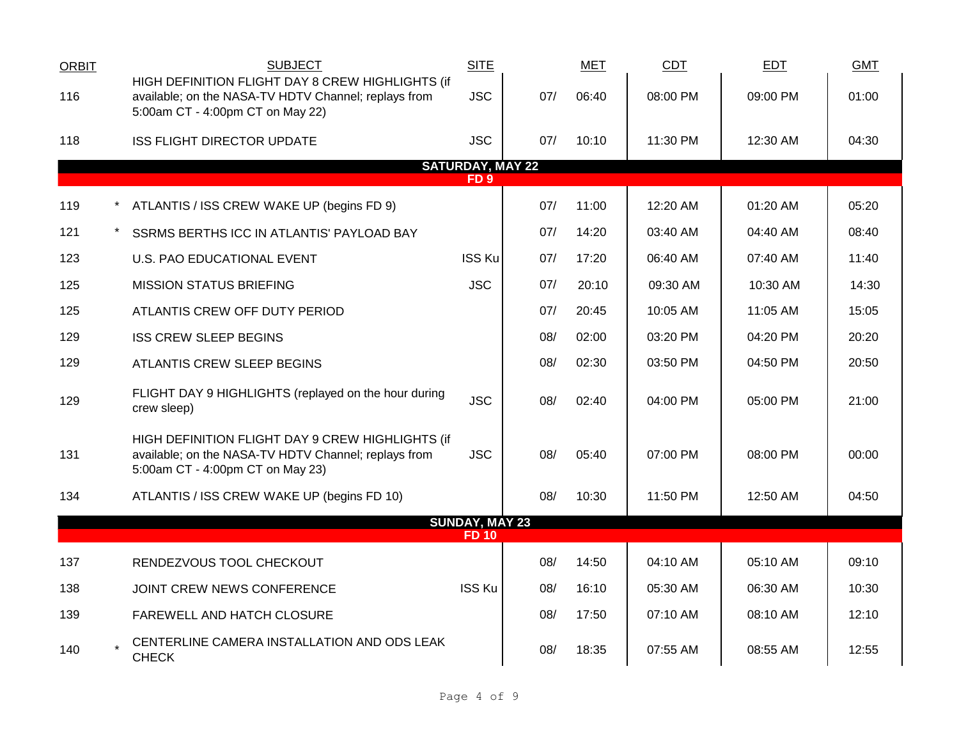| <b>ORBIT</b> | <b>SUBJECT</b>                                                                                                                               | <b>SITE</b>                                |     | <b>MET</b> | <b>CDT</b> | EDT      | <b>GMT</b> |
|--------------|----------------------------------------------------------------------------------------------------------------------------------------------|--------------------------------------------|-----|------------|------------|----------|------------|
| 116          | HIGH DEFINITION FLIGHT DAY 8 CREW HIGHLIGHTS (if<br>available; on the NASA-TV HDTV Channel; replays from<br>5:00am CT - 4:00pm CT on May 22) | <b>JSC</b>                                 | 07/ | 06:40      | 08:00 PM   | 09:00 PM | 01:00      |
| 118          | <b>ISS FLIGHT DIRECTOR UPDATE</b>                                                                                                            | <b>JSC</b>                                 | 07/ | 10:10      | 11:30 PM   | 12:30 AM | 04:30      |
|              |                                                                                                                                              | <b>SATURDAY, MAY 22</b><br>FD <sub>9</sub> |     |            |            |          |            |
| 119          | ATLANTIS / ISS CREW WAKE UP (begins FD 9)                                                                                                    |                                            | 07/ | 11:00      | 12:20 AM   | 01:20 AM | 05:20      |
| 121          | SSRMS BERTHS ICC IN ATLANTIS' PAYLOAD BAY                                                                                                    |                                            | 07/ | 14:20      | 03:40 AM   | 04:40 AM | 08:40      |
| 123          | U.S. PAO EDUCATIONAL EVENT                                                                                                                   | <b>ISS Ku</b>                              | 07/ | 17:20      | 06:40 AM   | 07:40 AM | 11:40      |
| 125          | <b>MISSION STATUS BRIEFING</b>                                                                                                               | <b>JSC</b>                                 | 07/ | 20:10      | 09:30 AM   | 10:30 AM | 14:30      |
| 125          | ATLANTIS CREW OFF DUTY PERIOD                                                                                                                |                                            | 07/ | 20:45      | 10:05 AM   | 11:05 AM | 15:05      |
| 129          | <b>ISS CREW SLEEP BEGINS</b>                                                                                                                 |                                            | 08/ | 02:00      | 03:20 PM   | 04:20 PM | 20:20      |
| 129          | ATLANTIS CREW SLEEP BEGINS                                                                                                                   |                                            | 08/ | 02:30      | 03:50 PM   | 04:50 PM | 20:50      |
| 129          | FLIGHT DAY 9 HIGHLIGHTS (replayed on the hour during<br>crew sleep)                                                                          | <b>JSC</b>                                 | 08/ | 02:40      | 04:00 PM   | 05:00 PM | 21:00      |
| 131          | HIGH DEFINITION FLIGHT DAY 9 CREW HIGHLIGHTS (if<br>available; on the NASA-TV HDTV Channel; replays from<br>5:00am CT - 4:00pm CT on May 23) | <b>JSC</b>                                 | 08/ | 05:40      | 07:00 PM   | 08:00 PM | 00:00      |
| 134          | ATLANTIS / ISS CREW WAKE UP (begins FD 10)                                                                                                   |                                            | 08/ | 10:30      | 11:50 PM   | 12:50 AM | 04:50      |
|              |                                                                                                                                              | <b>SUNDAY, MAY 23</b><br><b>FD 10</b>      |     |            |            |          |            |
| 137          | RENDEZVOUS TOOL CHECKOUT                                                                                                                     |                                            | 08/ | 14:50      | 04:10 AM   | 05:10 AM | 09:10      |
| 138          | JOINT CREW NEWS CONFERENCE                                                                                                                   | <b>ISS Ku</b>                              | 08/ | 16:10      | 05:30 AM   | 06:30 AM | 10:30      |
|              |                                                                                                                                              |                                            |     |            |            |          |            |
| 139          | FAREWELL AND HATCH CLOSURE                                                                                                                   |                                            | 08/ | 17:50      | 07:10 AM   | 08:10 AM | 12:10      |
| 140          | CENTERLINE CAMERA INSTALLATION AND ODS LEAK<br><b>CHECK</b>                                                                                  |                                            | 08/ | 18:35      | 07:55 AM   | 08:55 AM | 12:55      |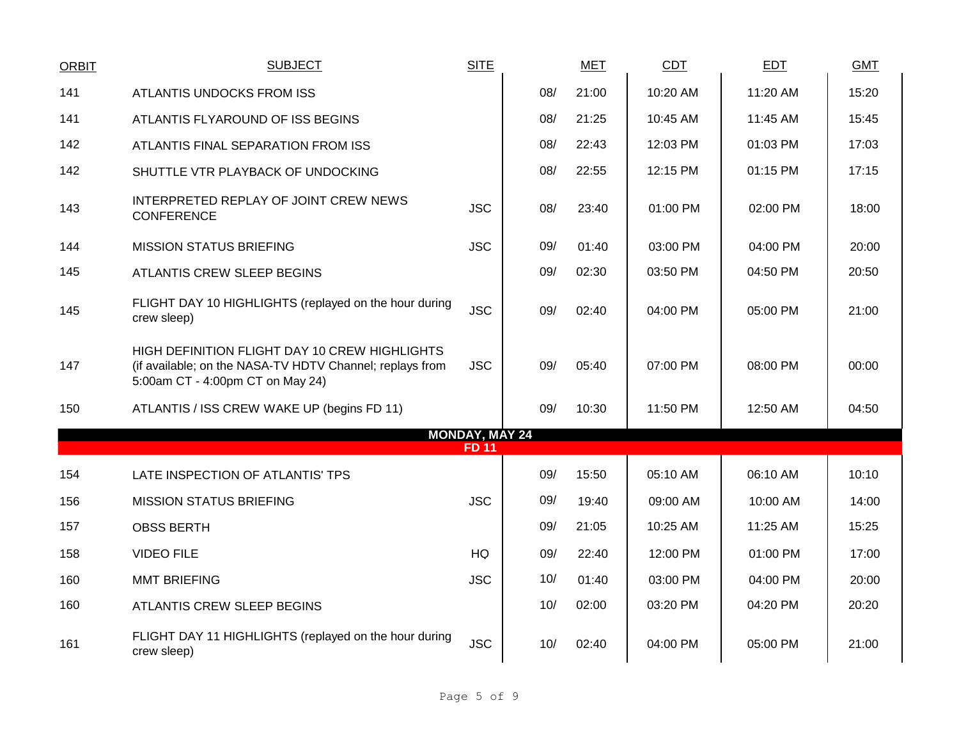| <b>ORBIT</b> | <b>SUBJECT</b>                                                                                                                                | <b>SITE</b>           |     | MET   | CDT      | EDT      | <b>GMT</b> |
|--------------|-----------------------------------------------------------------------------------------------------------------------------------------------|-----------------------|-----|-------|----------|----------|------------|
| 141          | ATLANTIS UNDOCKS FROM ISS                                                                                                                     |                       | 08/ | 21:00 | 10:20 AM | 11:20 AM | 15:20      |
| 141          | ATLANTIS FLYAROUND OF ISS BEGINS                                                                                                              |                       | 08/ | 21:25 | 10:45 AM | 11:45 AM | 15:45      |
| 142          | ATLANTIS FINAL SEPARATION FROM ISS                                                                                                            |                       | 08/ | 22:43 | 12:03 PM | 01:03 PM | 17:03      |
| 142          | SHUTTLE VTR PLAYBACK OF UNDOCKING                                                                                                             |                       | 08/ | 22:55 | 12:15 PM | 01:15 PM | 17:15      |
| 143          | INTERPRETED REPLAY OF JOINT CREW NEWS<br><b>CONFERENCE</b>                                                                                    | <b>JSC</b>            | 08/ | 23:40 | 01:00 PM | 02:00 PM | 18:00      |
| 144          | <b>MISSION STATUS BRIEFING</b>                                                                                                                | <b>JSC</b>            | 09/ | 01:40 | 03:00 PM | 04:00 PM | 20:00      |
| 145          | <b>ATLANTIS CREW SLEEP BEGINS</b>                                                                                                             |                       | 09/ | 02:30 | 03:50 PM | 04:50 PM | 20:50      |
| 145          | FLIGHT DAY 10 HIGHLIGHTS (replayed on the hour during<br>crew sleep)                                                                          | <b>JSC</b>            | 09/ | 02:40 | 04:00 PM | 05:00 PM | 21:00      |
| 147          | HIGH DEFINITION FLIGHT DAY 10 CREW HIGHLIGHTS<br>(if available; on the NASA-TV HDTV Channel; replays from<br>5:00am CT - 4:00pm CT on May 24) | <b>JSC</b>            | 09/ | 05:40 | 07:00 PM | 08:00 PM | 00:00      |
| 150          | ATLANTIS / ISS CREW WAKE UP (begins FD 11)                                                                                                    |                       | 09/ | 10:30 | 11:50 PM | 12:50 AM | 04:50      |
|              |                                                                                                                                               | <b>MONDAY, MAY 24</b> |     |       |          |          |            |
|              |                                                                                                                                               | <b>FD 11</b>          |     |       |          |          |            |
| 154          | LATE INSPECTION OF ATLANTIS' TPS                                                                                                              |                       | 09/ | 15:50 | 05:10 AM | 06:10 AM | 10:10      |
| 156          | <b>MISSION STATUS BRIEFING</b>                                                                                                                | <b>JSC</b>            | 09/ | 19:40 | 09:00 AM | 10:00 AM | 14:00      |
| 157          | <b>OBSS BERTH</b>                                                                                                                             |                       | 09/ | 21:05 | 10:25 AM | 11:25 AM | 15:25      |
| 158          | <b>VIDEO FILE</b>                                                                                                                             | HQ                    | 09/ | 22:40 | 12:00 PM | 01:00 PM | 17:00      |
| 160          | <b>MMT BRIEFING</b>                                                                                                                           | <b>JSC</b>            | 10/ | 01:40 | 03:00 PM | 04:00 PM | 20:00      |
| 160          | ATLANTIS CREW SLEEP BEGINS                                                                                                                    |                       | 10/ | 02:00 | 03:20 PM | 04:20 PM | 20:20      |
| 161          | FLIGHT DAY 11 HIGHLIGHTS (replayed on the hour during<br>crew sleep)                                                                          | <b>JSC</b>            | 10/ | 02:40 | 04:00 PM | 05:00 PM | 21:00      |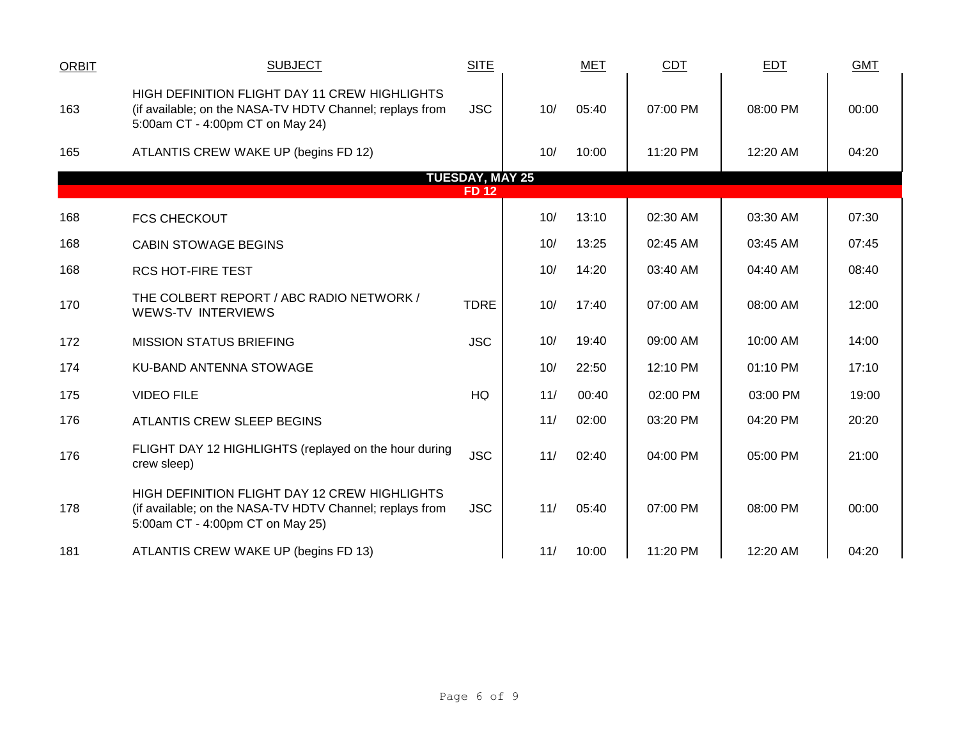| <b>ORBIT</b> | <b>SUBJECT</b>                                                                                                                                | <b>SITE</b>            |     | <b>MET</b> | <b>CDT</b> | EDT      | <b>GMT</b> |
|--------------|-----------------------------------------------------------------------------------------------------------------------------------------------|------------------------|-----|------------|------------|----------|------------|
| 163          | HIGH DEFINITION FLIGHT DAY 11 CREW HIGHLIGHTS<br>(if available; on the NASA-TV HDTV Channel; replays from<br>5:00am CT - 4:00pm CT on May 24) | <b>JSC</b>             | 10/ | 05:40      | 07:00 PM   | 08:00 PM | 00:00      |
| 165          | ATLANTIS CREW WAKE UP (begins FD 12)                                                                                                          |                        | 10/ | 10:00      | 11:20 PM   | 12:20 AM | 04:20      |
|              |                                                                                                                                               | <b>TUESDAY, MAY 25</b> |     |            |            |          |            |
|              |                                                                                                                                               | <b>FD 12</b>           |     |            |            |          |            |
| 168          | <b>FCS CHECKOUT</b>                                                                                                                           |                        | 10/ | 13:10      | 02:30 AM   | 03:30 AM | 07:30      |
| 168          | <b>CABIN STOWAGE BEGINS</b>                                                                                                                   |                        | 10/ | 13:25      | 02:45 AM   | 03:45 AM | 07:45      |
| 168          | <b>RCS HOT-FIRE TEST</b>                                                                                                                      |                        | 10/ | 14:20      | 03:40 AM   | 04:40 AM | 08:40      |
| 170          | THE COLBERT REPORT / ABC RADIO NETWORK /<br>WEWS-TV INTERVIEWS                                                                                | <b>TDRE</b>            | 10/ | 17:40      | 07:00 AM   | 08:00 AM | 12:00      |
| 172          | <b>MISSION STATUS BRIEFING</b>                                                                                                                | <b>JSC</b>             | 10/ | 19:40      | 09:00 AM   | 10:00 AM | 14:00      |
| 174          | <b>KU-BAND ANTENNA STOWAGE</b>                                                                                                                |                        | 10/ | 22:50      | 12:10 PM   | 01:10 PM | 17:10      |
| 175          | <b>VIDEO FILE</b>                                                                                                                             | HQ                     | 11/ | 00:40      | 02:00 PM   | 03:00 PM | 19:00      |
| 176          | ATLANTIS CREW SLEEP BEGINS                                                                                                                    |                        | 11/ | 02:00      | 03:20 PM   | 04:20 PM | 20:20      |
| 176          | FLIGHT DAY 12 HIGHLIGHTS (replayed on the hour during<br>crew sleep)                                                                          | <b>JSC</b>             | 11/ | 02:40      | 04:00 PM   | 05:00 PM | 21:00      |
| 178          | HIGH DEFINITION FLIGHT DAY 12 CREW HIGHLIGHTS<br>(if available; on the NASA-TV HDTV Channel; replays from<br>5:00am CT - 4:00pm CT on May 25) | <b>JSC</b>             | 11/ | 05:40      | 07:00 PM   | 08:00 PM | 00:00      |
| 181          | ATLANTIS CREW WAKE UP (begins FD 13)                                                                                                          |                        | 11/ | 10:00      | 11:20 PM   | 12:20 AM | 04:20      |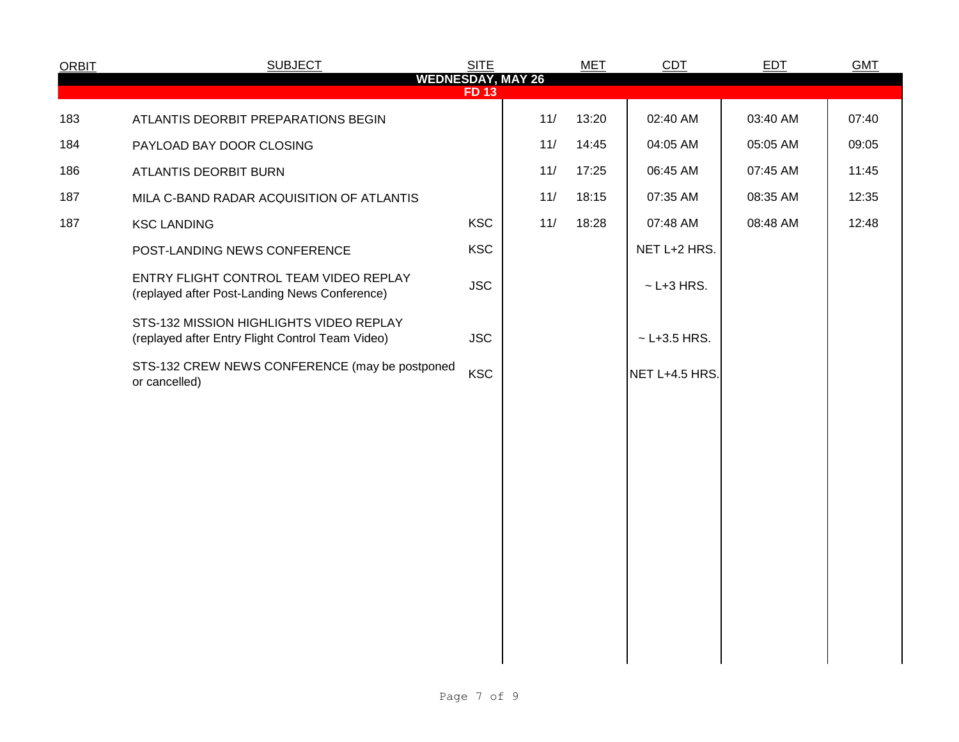| <b>ORBIT</b> | <b>SUBJECT</b>                                                                              | <b>SITE</b> |                          | <b>MET</b> | <b>CDT</b>       | <b>EDT</b> | <b>GMT</b> |
|--------------|---------------------------------------------------------------------------------------------|-------------|--------------------------|------------|------------------|------------|------------|
|              |                                                                                             | <b>FD13</b> | <b>WEDNESDAY, MAY 26</b> |            |                  |            |            |
| 183          | ATLANTIS DEORBIT PREPARATIONS BEGIN                                                         |             | 11/                      | 13:20      | 02:40 AM         | 03:40 AM   | 07:40      |
| 184          | PAYLOAD BAY DOOR CLOSING                                                                    |             | 11/                      | 14:45      | 04:05 AM         | 05:05 AM   | 09:05      |
| 186          | ATLANTIS DEORBIT BURN                                                                       |             | 11/                      | 17:25      | 06:45 AM         | 07:45 AM   | 11:45      |
| 187          | MILA C-BAND RADAR ACQUISITION OF ATLANTIS                                                   |             | 11/                      | 18:15      | 07:35 AM         | 08:35 AM   | 12:35      |
| 187          | <b>KSC LANDING</b>                                                                          | <b>KSC</b>  | 11/                      | 18:28      | 07:48 AM         | 08:48 AM   | 12:48      |
|              | POST-LANDING NEWS CONFERENCE                                                                | <b>KSC</b>  |                          |            | NET L+2 HRS.     |            |            |
|              | ENTRY FLIGHT CONTROL TEAM VIDEO REPLAY<br>(replayed after Post-Landing News Conference)     | <b>JSC</b>  |                          |            | $\sim$ L+3 HRS.  |            |            |
|              | STS-132 MISSION HIGHLIGHTS VIDEO REPLAY<br>(replayed after Entry Flight Control Team Video) | <b>JSC</b>  |                          |            | $~$ - L+3.5 HRS. |            |            |
|              | STS-132 CREW NEWS CONFERENCE (may be postponed<br>or cancelled)                             | <b>KSC</b>  |                          |            | NET L+4.5 HRS.   |            |            |
|              |                                                                                             |             |                          |            |                  |            |            |
|              |                                                                                             |             |                          |            |                  |            |            |
|              |                                                                                             |             |                          |            |                  |            |            |
|              |                                                                                             |             |                          |            |                  |            |            |
|              |                                                                                             |             |                          |            |                  |            |            |
|              |                                                                                             |             |                          |            |                  |            |            |
|              |                                                                                             |             |                          |            |                  |            |            |
|              |                                                                                             |             |                          |            |                  |            |            |
|              |                                                                                             |             |                          |            |                  |            |            |
|              |                                                                                             |             |                          |            |                  |            |            |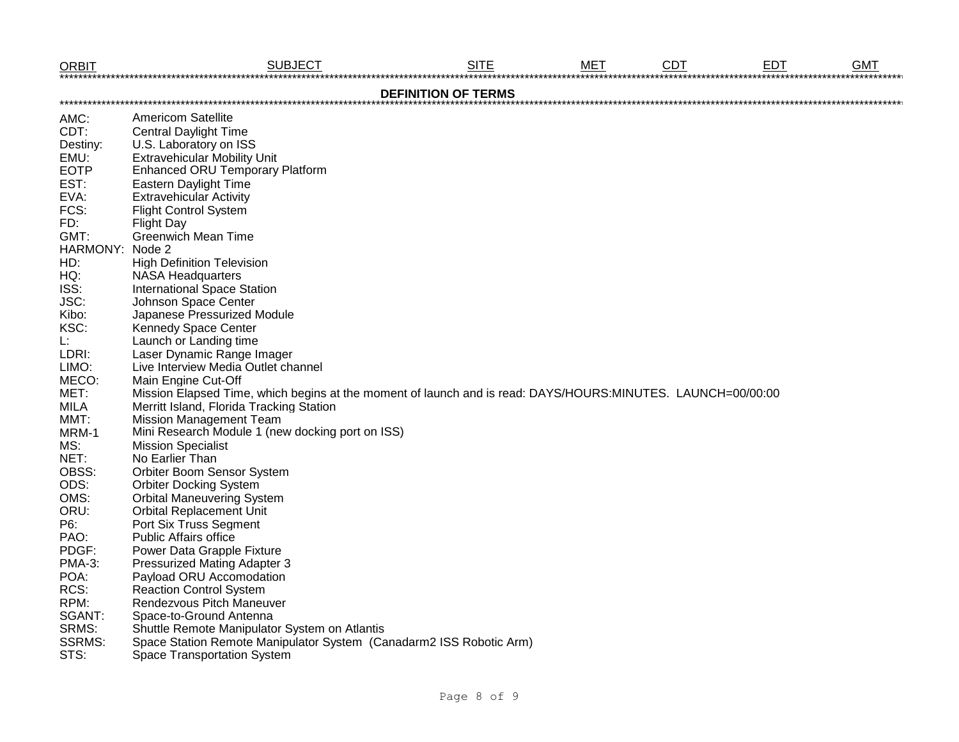| <b>ORBIT</b>    | <b>SUBJECT</b>                                                                                              | <b>SITE</b>                | MET | <b>CDT</b> | <b>EDT</b> | <b>GMT</b> |
|-----------------|-------------------------------------------------------------------------------------------------------------|----------------------------|-----|------------|------------|------------|
|                 |                                                                                                             | <b>DEFINITION OF TERMS</b> |     |            |            |            |
| AMC:            | <b>Americom Satellite</b>                                                                                   |                            |     |            |            |            |
| CDT:            | <b>Central Daylight Time</b>                                                                                |                            |     |            |            |            |
| Destiny:        | U.S. Laboratory on ISS                                                                                      |                            |     |            |            |            |
| EMU:            | <b>Extravehicular Mobility Unit</b>                                                                         |                            |     |            |            |            |
| <b>EOTP</b>     | <b>Enhanced ORU Temporary Platform</b>                                                                      |                            |     |            |            |            |
| EST:            | Eastern Daylight Time                                                                                       |                            |     |            |            |            |
| EVA:            | <b>Extravehicular Activity</b>                                                                              |                            |     |            |            |            |
| FCS:            | <b>Flight Control System</b>                                                                                |                            |     |            |            |            |
| FD:             | <b>Flight Day</b>                                                                                           |                            |     |            |            |            |
| GMT:            | <b>Greenwich Mean Time</b>                                                                                  |                            |     |            |            |            |
| HARMONY: Node 2 |                                                                                                             |                            |     |            |            |            |
| HD:             | <b>High Definition Television</b>                                                                           |                            |     |            |            |            |
| HQ:             | <b>NASA Headquarters</b>                                                                                    |                            |     |            |            |            |
| ISS:            | <b>International Space Station</b>                                                                          |                            |     |            |            |            |
| JSC:            | Johnson Space Center                                                                                        |                            |     |            |            |            |
| Kibo:           | Japanese Pressurized Module                                                                                 |                            |     |            |            |            |
| KSC:            | Kennedy Space Center                                                                                        |                            |     |            |            |            |
| L:              | Launch or Landing time                                                                                      |                            |     |            |            |            |
| LDRI:           | Laser Dynamic Range Imager                                                                                  |                            |     |            |            |            |
| LIMO:           | Live Interview Media Outlet channel                                                                         |                            |     |            |            |            |
| MECO:           | Main Engine Cut-Off                                                                                         |                            |     |            |            |            |
| MET:            | Mission Elapsed Time, which begins at the moment of launch and is read: DAYS/HOURS:MINUTES. LAUNCH=00/00:00 |                            |     |            |            |            |
| <b>MILA</b>     | Merritt Island, Florida Tracking Station                                                                    |                            |     |            |            |            |
| MMT:            | <b>Mission Management Team</b>                                                                              |                            |     |            |            |            |
| MRM-1           | Mini Research Module 1 (new docking port on ISS)                                                            |                            |     |            |            |            |
| MS:             | <b>Mission Specialist</b>                                                                                   |                            |     |            |            |            |
| NET:            | No Earlier Than                                                                                             |                            |     |            |            |            |
| OBSS:           | Orbiter Boom Sensor System                                                                                  |                            |     |            |            |            |
| ODS:            | <b>Orbiter Docking System</b>                                                                               |                            |     |            |            |            |
| OMS:            | <b>Orbital Maneuvering System</b>                                                                           |                            |     |            |            |            |
| ORU:            | <b>Orbital Replacement Unit</b>                                                                             |                            |     |            |            |            |
| P6:             | Port Six Truss Segment                                                                                      |                            |     |            |            |            |
| PAO:            | <b>Public Affairs office</b>                                                                                |                            |     |            |            |            |
| PDGF:           | Power Data Grapple Fixture                                                                                  |                            |     |            |            |            |
| PMA-3:          | <b>Pressurized Mating Adapter 3</b>                                                                         |                            |     |            |            |            |
| POA:            | Payload ORU Accomodation                                                                                    |                            |     |            |            |            |
| RCS:            | <b>Reaction Control System</b>                                                                              |                            |     |            |            |            |
| RPM:            | Rendezvous Pitch Maneuver                                                                                   |                            |     |            |            |            |
| SGANT:          | Space-to-Ground Antenna                                                                                     |                            |     |            |            |            |
| SRMS:           | Shuttle Remote Manipulator System on Atlantis                                                               |                            |     |            |            |            |
| <b>SSRMS:</b>   | Space Station Remote Manipulator System (Canadarm2 ISS Robotic Arm)                                         |                            |     |            |            |            |
| STS:            | Space Transportation System                                                                                 |                            |     |            |            |            |